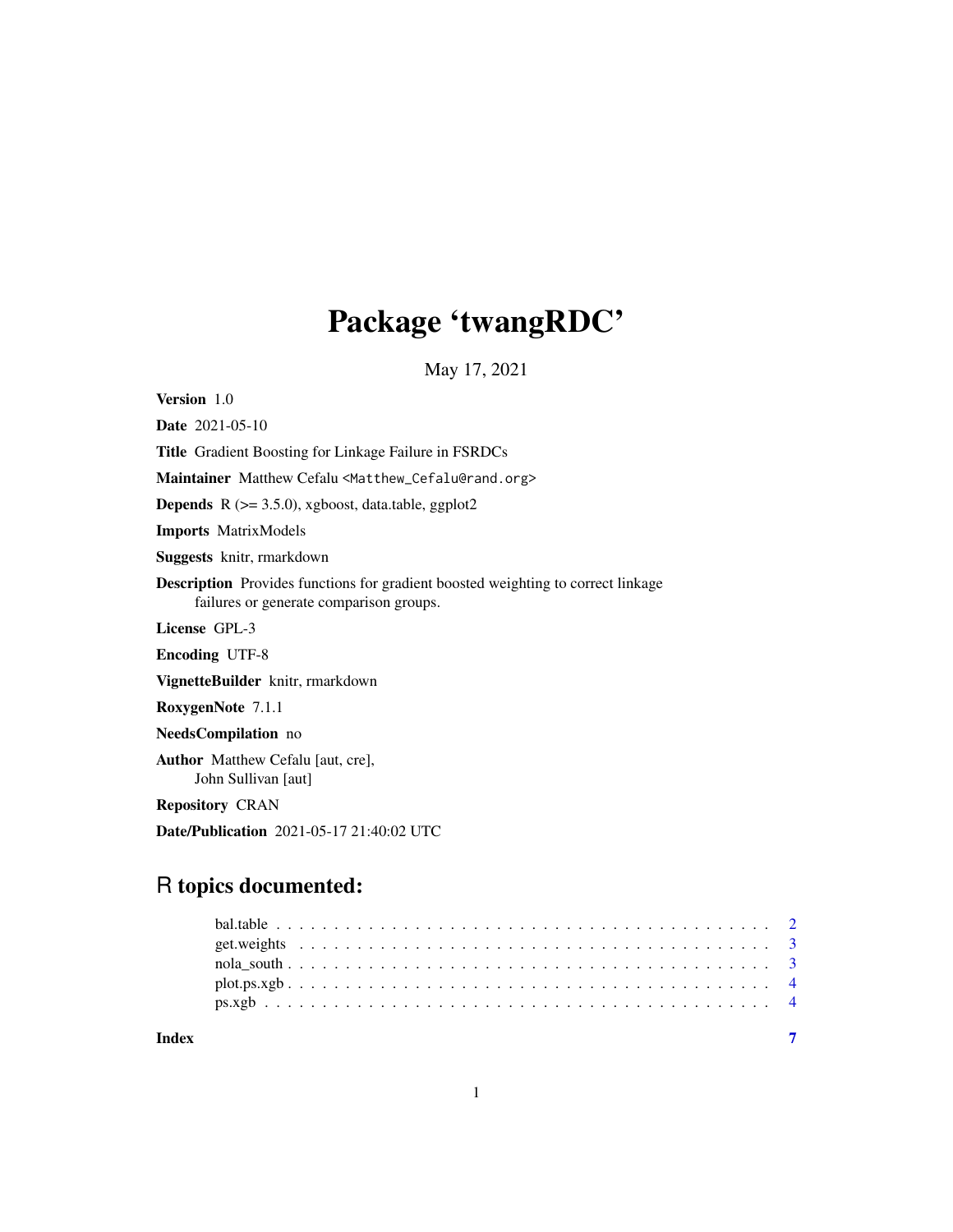## Package 'twangRDC'

May 17, 2021

<span id="page-0-0"></span>Version 1.0

Date 2021-05-10 Title Gradient Boosting for Linkage Failure in FSRDCs Maintainer Matthew Cefalu <Matthew\_Cefalu@rand.org> Depends R (>= 3.5.0), xgboost, data.table, ggplot2 Imports MatrixModels Suggests knitr, rmarkdown Description Provides functions for gradient boosted weighting to correct linkage failures or generate comparison groups. License GPL-3 Encoding UTF-8 VignetteBuilder knitr, rmarkdown RoxygenNote 7.1.1 NeedsCompilation no Author Matthew Cefalu [aut, cre], John Sullivan [aut] Repository CRAN

Date/Publication 2021-05-17 21:40:02 UTC

## R topics documented:

| Index |  |  |  |  |  |  |  |  |  |  |  |  |  |  |  |  |  |  |  |  |  |  |
|-------|--|--|--|--|--|--|--|--|--|--|--|--|--|--|--|--|--|--|--|--|--|--|
|       |  |  |  |  |  |  |  |  |  |  |  |  |  |  |  |  |  |  |  |  |  |  |
|       |  |  |  |  |  |  |  |  |  |  |  |  |  |  |  |  |  |  |  |  |  |  |
|       |  |  |  |  |  |  |  |  |  |  |  |  |  |  |  |  |  |  |  |  |  |  |
|       |  |  |  |  |  |  |  |  |  |  |  |  |  |  |  |  |  |  |  |  |  |  |
|       |  |  |  |  |  |  |  |  |  |  |  |  |  |  |  |  |  |  |  |  |  |  |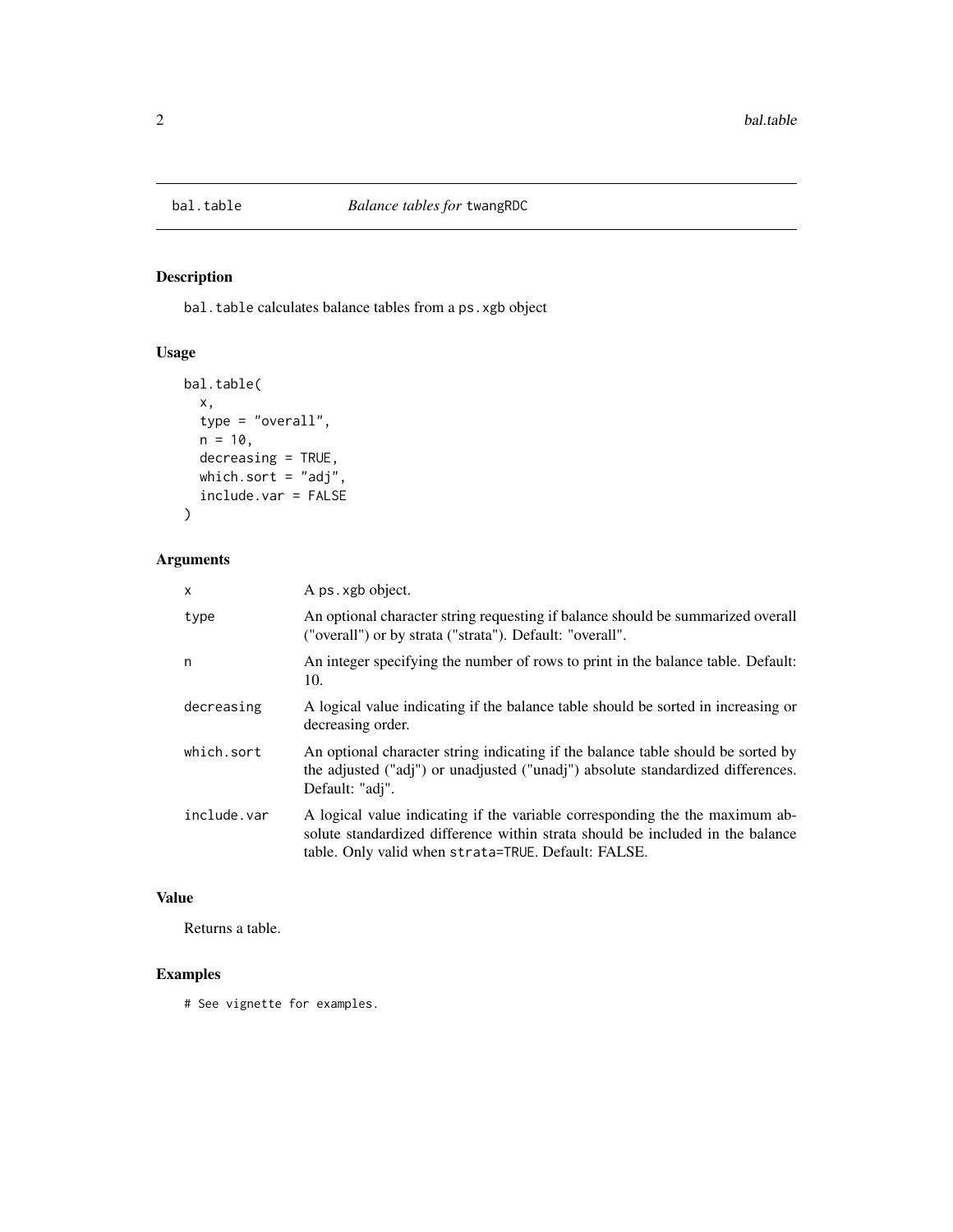<span id="page-1-0"></span>

## Description

bal.table calculates balance tables from a ps.xgb object

#### Usage

```
bal.table(
 x,
 type = "overall",
 n = 10,
 decreasing = TRUE,
 which.sort = "adj",
  include.var = FALSE
)
```
## Arguments

| $\mathsf{x}$ | A ps. xgb object.                                                                                                                                                                                                     |
|--------------|-----------------------------------------------------------------------------------------------------------------------------------------------------------------------------------------------------------------------|
| type         | An optional character string requesting if balance should be summarized overall<br>("overall") or by strata ("strata"). Default: "overall".                                                                           |
| n            | An integer specifying the number of rows to print in the balance table. Default:<br>10.                                                                                                                               |
| decreasing   | A logical value indicating if the balance table should be sorted in increasing or<br>decreasing order.                                                                                                                |
| which.sort   | An optional character string indicating if the balance table should be sorted by<br>the adjusted ("adj") or unadjusted ("unadj") absolute standardized differences.<br>Default: "adj".                                |
| include.var  | A logical value indicating if the variable corresponding the the maximum ab-<br>solute standardized difference within strata should be included in the balance<br>table. Only valid when strata=TRUE. Default: FALSE. |

## Value

Returns a table.

#### Examples

# See vignette for examples.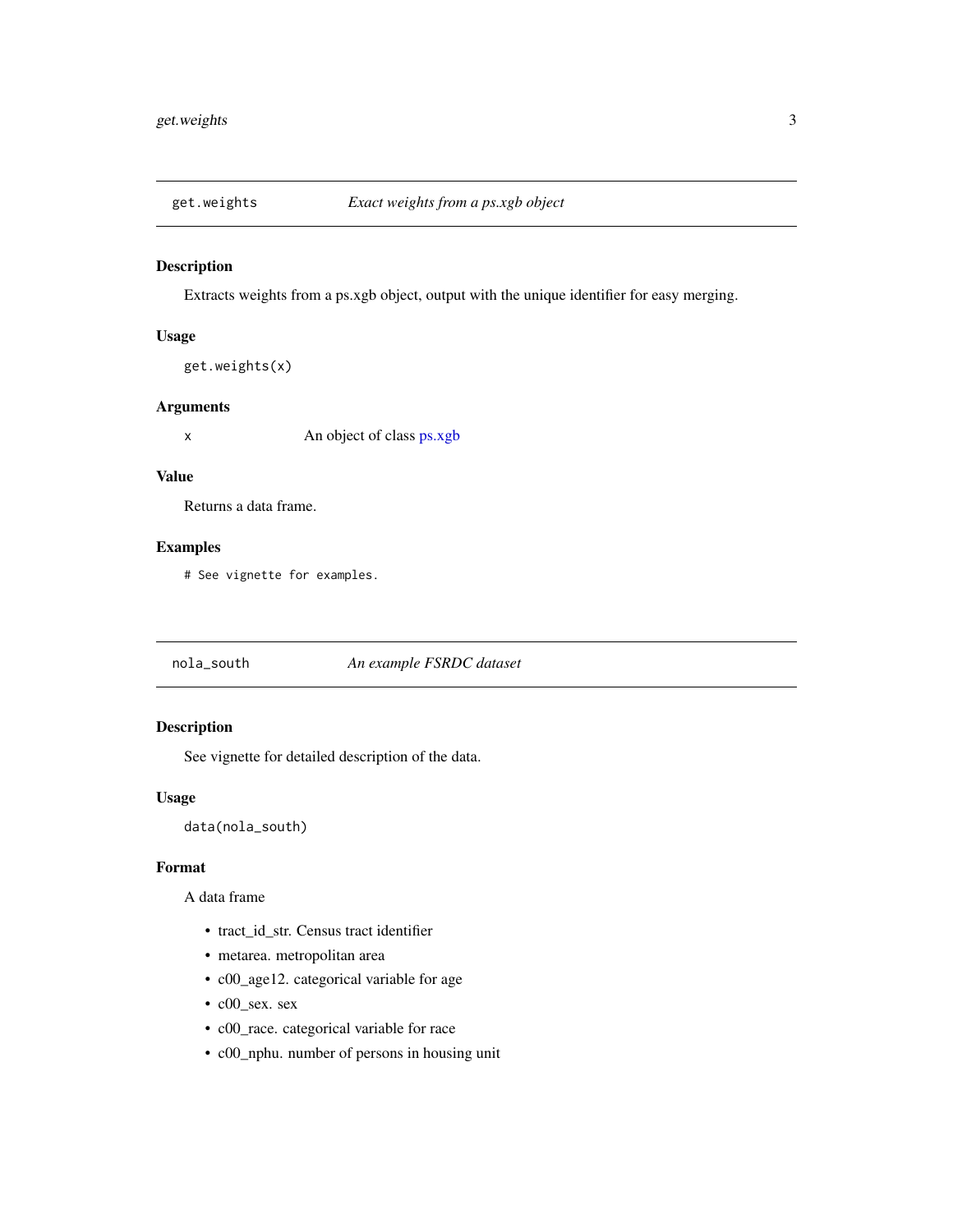<span id="page-2-0"></span>

#### Description

Extracts weights from a ps.xgb object, output with the unique identifier for easy merging.

#### Usage

```
get.weights(x)
```
#### Arguments

x An object of class [ps.xgb](#page-3-1)

#### Value

Returns a data frame.

#### Examples

# See vignette for examples.

## nola\_south *An example FSRDC dataset*

## Description

See vignette for detailed description of the data.

#### Usage

data(nola\_south)

#### Format

A data frame

- tract\_id\_str. Census tract identifier
- metarea. metropolitan area
- c00\_age12. categorical variable for age
- c00\_sex. sex
- c00\_race. categorical variable for race
- c00\_nphu. number of persons in housing unit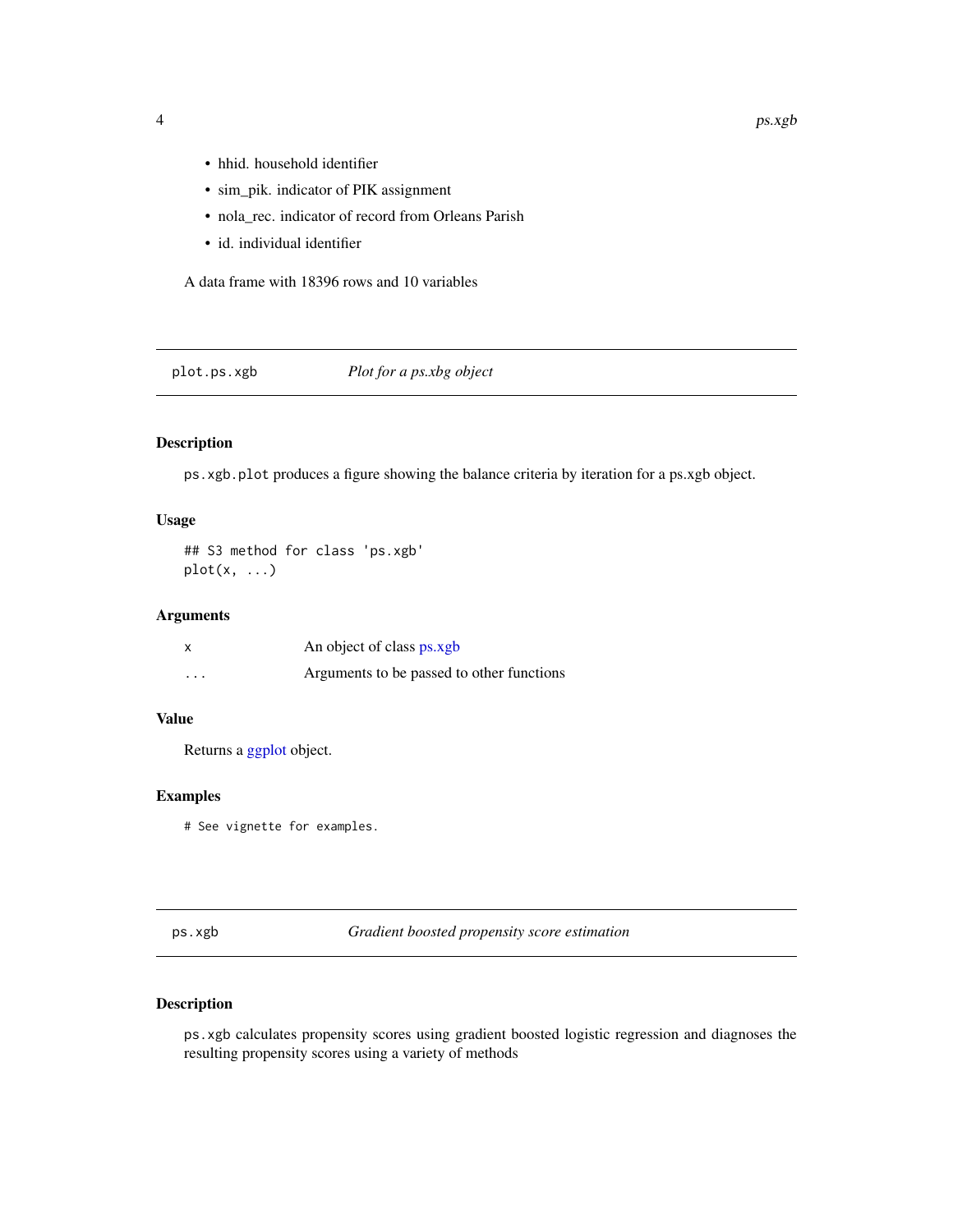- hhid. household identifier
- sim\_pik. indicator of PIK assignment
- nola\_rec. indicator of record from Orleans Parish
- id. individual identifier

A data frame with 18396 rows and 10 variables

#### plot.ps.xgb *Plot for a ps.xbg object*

#### Description

ps.xgb.plot produces a figure showing the balance criteria by iteration for a ps.xgb object.

#### Usage

```
## S3 method for class 'ps.xgb'
plot(x, \ldots)
```
#### Arguments

|          | An object of class ps.xgb                 |
|----------|-------------------------------------------|
| $\cdots$ | Arguments to be passed to other functions |

#### Value

Returns a [ggplot](#page-0-0) object.

#### Examples

# See vignette for examples.

<span id="page-3-1"></span>ps.xgb *Gradient boosted propensity score estimation*

#### Description

ps.xgb calculates propensity scores using gradient boosted logistic regression and diagnoses the resulting propensity scores using a variety of methods

<span id="page-3-0"></span>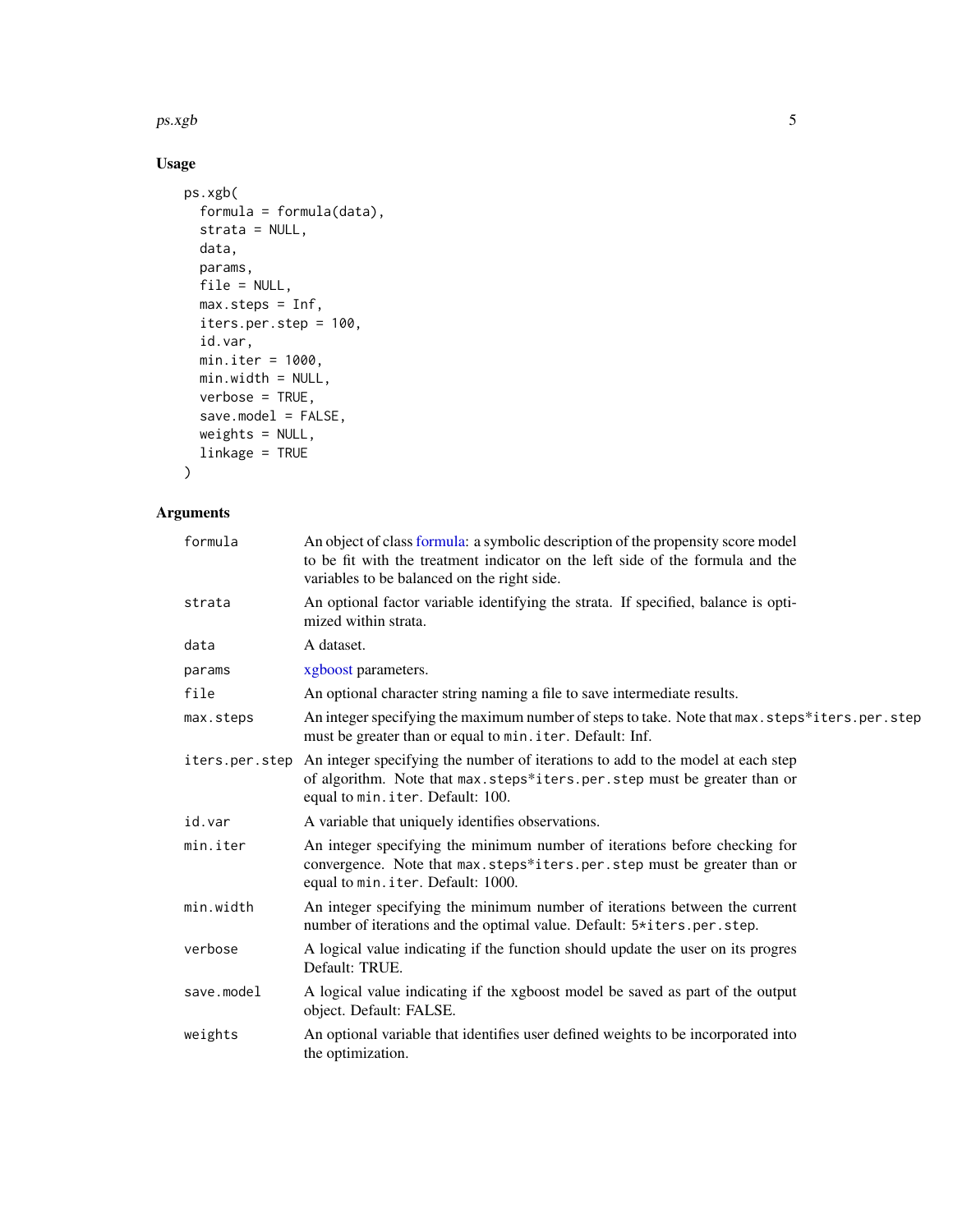<span id="page-4-0"></span> $p$ s.xgb  $5$ 

## Usage

```
ps.xgb(
  formula = formula(data),
  strata = NULL,
  data,
  params,
  file = NULL,
  max.steps = Inf,
  iters.per.step = 100,
  id.var,
  min.iter = 1000,
  min.width = NULL,
  verbose = TRUE,
  save.model = FALSE,
  weights = NULL,
  linkage = TRUE
\mathcal{L}
```
## Arguments

| formula        | An object of class formula: a symbolic description of the propensity score model<br>to be fit with the treatment indicator on the left side of the formula and the<br>variables to be balanced on the right side. |
|----------------|-------------------------------------------------------------------------------------------------------------------------------------------------------------------------------------------------------------------|
| strata         | An optional factor variable identifying the strata. If specified, balance is opti-<br>mized within strata.                                                                                                        |
| data           | A dataset.                                                                                                                                                                                                        |
| params         | xgboost parameters.                                                                                                                                                                                               |
| file           | An optional character string naming a file to save intermediate results.                                                                                                                                          |
| max.steps      | An integer specifying the maximum number of steps to take. Note that max. steps*iters.per.step<br>must be greater than or equal to min. iter. Default: Inf.                                                       |
| iters.per.step | An integer specifying the number of iterations to add to the model at each step<br>of algorithm. Note that max.steps*iters.per.step must be greater than or<br>equal to min. iter. Default: 100.                  |
| id.var         | A variable that uniquely identifies observations.                                                                                                                                                                 |
| min.iter       | An integer specifying the minimum number of iterations before checking for<br>convergence. Note that max.steps*iters.per.step must be greater than or<br>equal to min. iter. Default: 1000.                       |
| min.width      | An integer specifying the minimum number of iterations between the current<br>number of iterations and the optimal value. Default: 5*iters.per.step.                                                              |
| verbose        | A logical value indicating if the function should update the user on its progres<br>Default: TRUE.                                                                                                                |
| save.model     | A logical value indicating if the xgboost model be saved as part of the output<br>object. Default: FALSE.                                                                                                         |
| weights        | An optional variable that identifies user defined weights to be incorporated into<br>the optimization.                                                                                                            |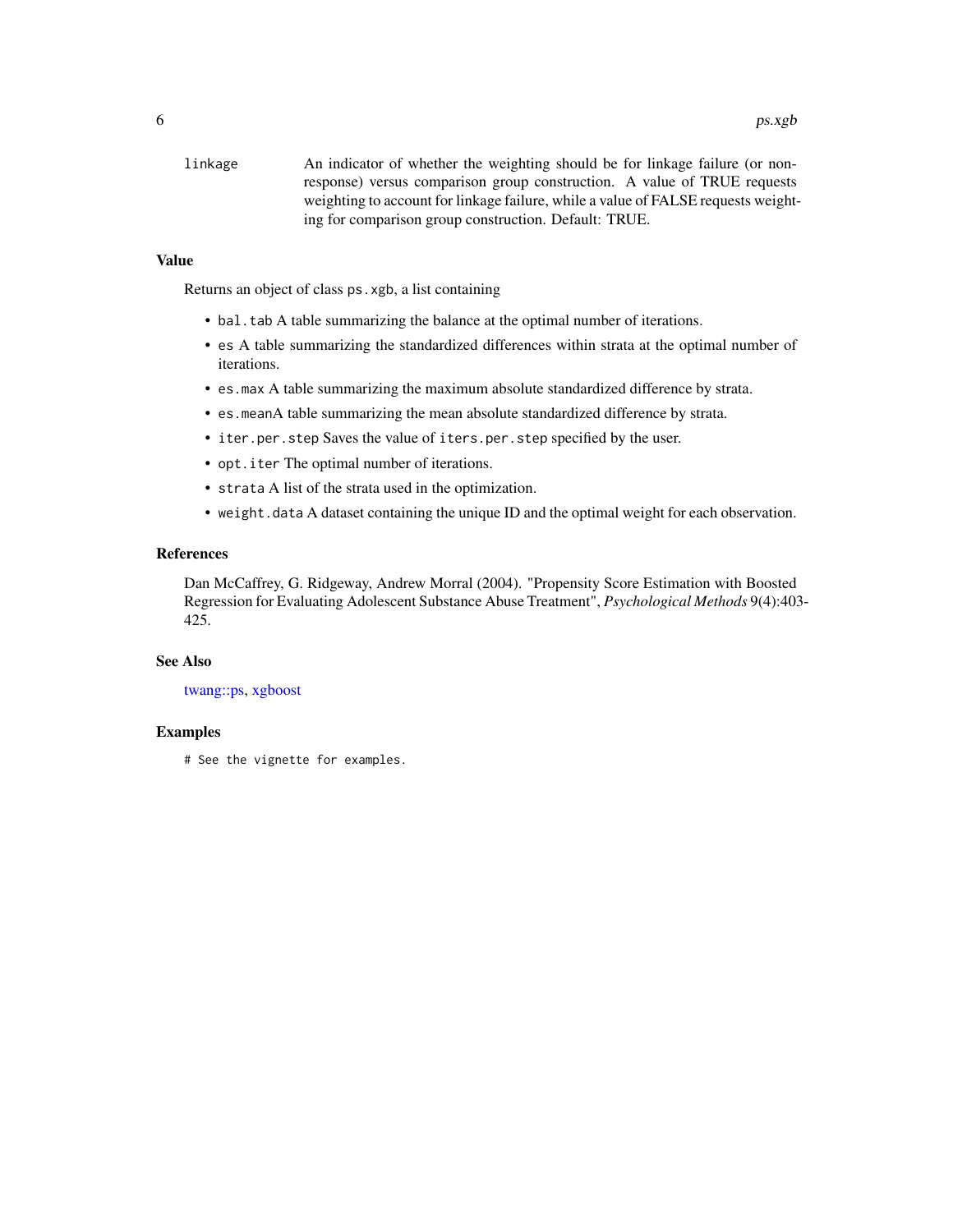<span id="page-5-0"></span>linkage An indicator of whether the weighting should be for linkage failure (or nonresponse) versus comparison group construction. A value of TRUE requests weighting to account for linkage failure, while a value of FALSE requests weighting for comparison group construction. Default: TRUE.

#### Value

Returns an object of class ps.xgb, a list containing

- bal.tab A table summarizing the balance at the optimal number of iterations.
- es A table summarizing the standardized differences within strata at the optimal number of iterations.
- es.max A table summarizing the maximum absolute standardized difference by strata.
- es.meanA table summarizing the mean absolute standardized difference by strata.
- iter.per.step Saves the value of iters.per.step specified by the user.
- opt.iter The optimal number of iterations.
- strata A list of the strata used in the optimization.
- weight.data A dataset containing the unique ID and the optimal weight for each observation.

#### References

Dan McCaffrey, G. Ridgeway, Andrew Morral (2004). "Propensity Score Estimation with Boosted Regression for Evaluating Adolescent Substance Abuse Treatment", *Psychological Methods* 9(4):403- 425.

#### See Also

#### [twang::ps,](#page-0-0) [xgboost](#page-0-0)

#### Examples

# See the vignette for examples.